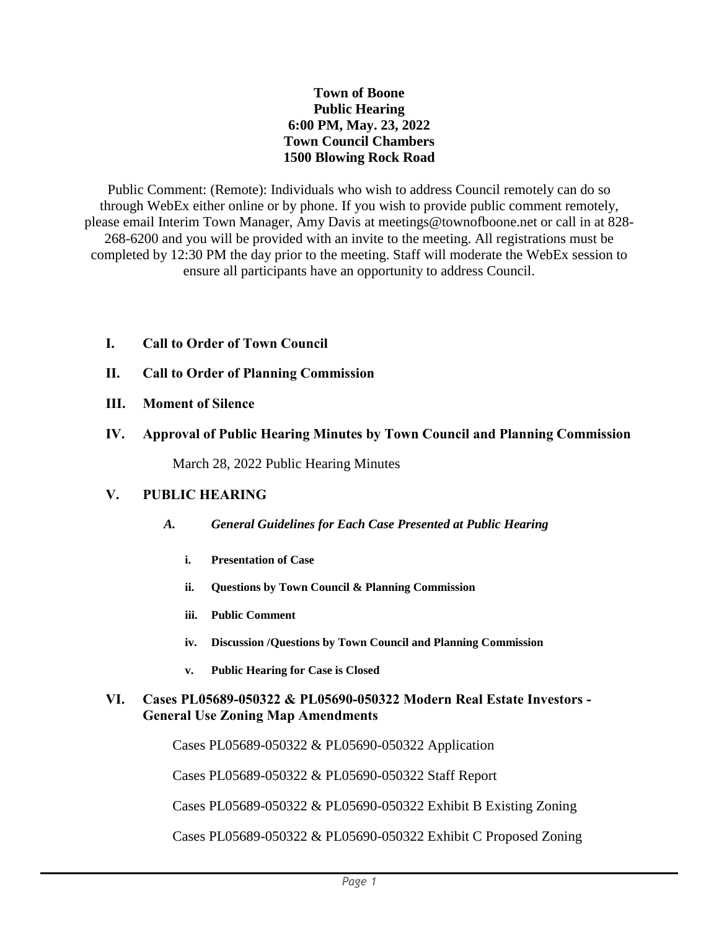# **Town of Boone Public Hearing 6:00 PM, May. 23, 2022 Town Council Chambers 1500 Blowing Rock Road**

Public Comment: (Remote): Individuals who wish to address Council remotely can do so through WebEx either online or by phone. If you wish to provide public comment remotely, please email Interim Town Manager, Amy Davis at meetings@townofboone.net or call in at 828- 268-6200 and you will be provided with an invite to the meeting. All registrations must be completed by 12:30 PM the day prior to the meeting. Staff will moderate the WebEx session to ensure all participants have an opportunity to address Council.

- **I. Call to Order of Town Council**
- **II. Call to Order of Planning Commission**
- **III. Moment of Silence**
- **IV. Approval of Public Hearing Minutes by Town Council and Planning Commission**

March 28, 2022 Public Hearing Minutes

# **V. PUBLIC HEARING**

- *A. General Guidelines for Each Case Presented at Public Hearing*
	- **i. Presentation of Case**
	- **ii. Questions by Town Council & Planning Commission**
	- **iii. Public Comment**
	- **iv. Discussion /Questions by Town Council and Planning Commission**
	- **v. Public Hearing for Case is Closed**

# **VI. Cases PL05689-050322 & PL05690-050322 Modern Real Estate Investors - General Use Zoning Map Amendments**

Cases PL05689-050322 & PL05690-050322 Application

Cases PL05689-050322 & PL05690-050322 Staff Report

Cases PL05689-050322 & PL05690-050322 Exhibit B Existing Zoning

Cases PL05689-050322 & PL05690-050322 Exhibit C Proposed Zoning